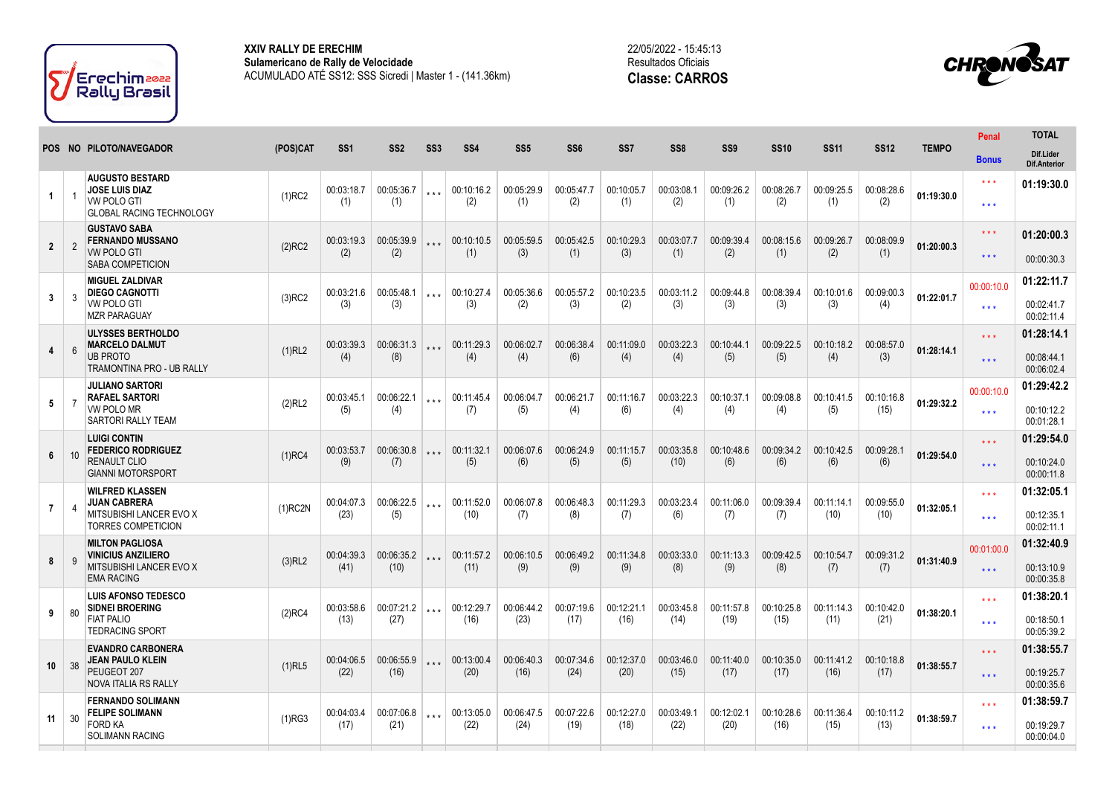

**XXIV RALLY DE ERECHIM Sulamericano de Rally de Velocidade** ACUMULADO ATÉ SS12: SSS Sicredi | Master 1 - (141.36km) 22/05/2022 - 15:45:13 Resultados Oficiais **Classe: CARROS**



|                 |                |                                                                                                          |            |                    |                    |                 |                    |                   |                   |                   |                    |                   |                   |                    |                    |              | Penal                                    | <b>TOTAL</b>                           |
|-----------------|----------------|----------------------------------------------------------------------------------------------------------|------------|--------------------|--------------------|-----------------|--------------------|-------------------|-------------------|-------------------|--------------------|-------------------|-------------------|--------------------|--------------------|--------------|------------------------------------------|----------------------------------------|
|                 |                | POS NO PILOTO/NAVEGADOR                                                                                  | (POS)CAT   | SS <sub>1</sub>    | SS <sub>2</sub>    | SS <sub>3</sub> | SS <sub>4</sub>    | SS <sub>5</sub>   | SS <sub>6</sub>   | SS7               | SS <sub>8</sub>    | SS <sub>9</sub>   | <b>SS10</b>       | <b>SS11</b>        | <b>SS12</b>        | <b>TEMPO</b> | <b>Bonus</b>                             | Dif.Lider<br><b>Dif.Anterior</b>       |
| $\mathbf{1}$    |                | <b>AUGUSTO BESTARD</b><br><b>JOSE LUIS DIAZ</b><br><b>VW POLO GTI</b><br><b>GLOBAL RACING TECHNOLOGY</b> | $(1)$ RC2  | 00:03:18.7<br>(1)  | 00:05:36.7<br>(1)  |                 | 00:10:16.2<br>(2)  | 00:05:29.9<br>(1) | 00:05:47.7<br>(2) | 00:10:05.7<br>(1) | 00:03:08.1<br>(2)  | 00:09:26.2<br>(1) | 00:08:26.7<br>(2) | 00:09:25.5<br>(1)  | 00:08:28.6<br>(2)  | 01:19:30.0   | $\star \star \star$<br>$***$             | 01:19:30.0                             |
| $\overline{2}$  | $\overline{2}$ | <b>GUSTAVO SABA</b><br><b>FERNANDO MUSSANO</b><br><b>VW POLO GTI</b><br>SABA COMPETICION                 | $(2)$ RC2  | 00:03:19.3<br>(2)  | 00:05:39.9<br>(2)  |                 | 00:10:10.5<br>(1)  | 00:05:59.5<br>(3) | 00:05:42.5<br>(1) | 00:10:29.3<br>(3) | 00:03:07.7<br>(1)  | 00:09:39.4<br>(2) | 00:08:15.6<br>(1) | 00:09:26.7<br>(2)  | 00:08:09.9<br>(1)  | 01:20:00.3   | $\star \star \star$<br>$\star\star\star$ | 01:20:00.3<br>00:00:30.3               |
| $\mathbf{3}$    | $\mathbf{3}$   | <b>MIGUEL ZALDIVAR</b><br><b>DIEGO CAGNOTTI</b><br>VW POLO GTI<br><b>MZR PARAGUAY</b>                    | $(3)$ RC2  | 00:03:21.6<br>(3)  | 00:05:48.1<br>(3)  | $***$           | 00:10:27.4<br>(3)  | 00:05:36.6<br>(2) | 00:05:57.2<br>(3) | 00:10:23.5<br>(2) | 00:03:11.2<br>(3)  | 00:09:44.8<br>(3) | 00:08:39.4<br>(3) | 00:10:01.6<br>(3)  | 00:09:00.3<br>(4)  | 01:22:01.7   | 00:00:10.0<br>$\star \star \star$        | 01:22:11.7<br>00:02:41.7<br>00:02:11.4 |
| $\overline{4}$  | 6              | <b>ULYSSES BERTHOLDO</b><br><b>MARCELO DALMUT</b><br><b>UB PROTO</b><br>TRAMONTINA PRO - UB RALLY        | (1)RL2     | 00:03:39.3<br>(4)  | 00:06:31.3<br>(8)  |                 | 00:11:29.3<br>(4)  | 00:06:02.7<br>(4) | 00:06:38.4<br>(6) | 00:11:09.0<br>(4) | 00:03:22.3<br>(4)  | 00:10:44.1<br>(5) | 00:09:22.5<br>(5) | 00:10:18.2<br>(4)  | 00:08:57.0<br>(3)  | 01:28:14.1   | $\star \star \star$<br>$\star\star\star$ | 01:28:14.1<br>00:08:44.1<br>00:06:02.4 |
| 5               | -7             | <b>JULIANO SARTORI</b><br><b>RAFAEL SARTORI</b><br>VW POLO MR<br><b>SARTORI RALLY TEAM</b>               | (2)RL2     | 00:03:45.1<br>(5)  | 00:06:22.1<br>(4)  | $***$           | 00:11:45.4<br>(7)  | 00:06:04.7<br>(5) | 00:06:21.7<br>(4) | 00:11:16.7<br>(6) | 00:03:22.3<br>(4)  | 00:10:37.1<br>(4) | 00:09:08.8<br>(4) | 00:10:41.5<br>(5)  | 00:10:16.8<br>(15) | 01:29:32.2   | 00:00:10.0<br>$\star \star \star$        | 01:29:42.2<br>00:10:12.2<br>00:01:28.1 |
| 6               |                | <b>LUIGI CONTIN</b><br><b>FEDERICO RODRIGUEZ</b><br>RENAULT CLIO<br><b>GIANNI MOTORSPORT</b>             | $(1)$ RC4  | 00:03:53.7<br>(9)  | 00:06:30.8<br>(7)  | $***$           | 00:11:32.1<br>(5)  | 00:06:07.6<br>(6) | 00:06:24.9<br>(5) | 00:11:15.7<br>(5) | 00:03:35.8<br>(10) | 00:10:48.6<br>(6) | 00:09:34.2<br>(6) | 00:10:42.5<br>(6)  | 00:09:28.1<br>(6)  | 01:29:54.0   | $\star \star \star$<br>$\star\star\star$ | 01:29:54.0<br>00:10:24.0<br>00:00:11.8 |
| $\overline{7}$  |                | <b>WILFRED KLASSEN</b><br><b>JUAN CABRERA</b><br>MITSUBISHI LANCER EVO X<br><b>TORRES COMPETICION</b>    | $(1)$ RC2N | 00:04:07.3<br>(23) | 00:06:22.5<br>(5)  | $***$           | 00:11:52.0<br>(10) | 00:06:07.8<br>(7) | 00:06:48.3<br>(8) | 00:11:29.3<br>(7) | 00:03:23.4<br>(6)  | 00:11:06.0<br>(7) | 00:09:39.4<br>(7) | 00:11:14.1<br>(10) | 00:09:55.0<br>(10) | 01:32:05.1   | $\star \star \star$<br>$***$             | 01:32:05.1<br>00:12:35.1<br>00:02:11.1 |
| 8               |                | <b>MILTON PAGLIOSA</b><br><b>VINICIUS ANZILIERO</b><br>MITSUBISHI LANCER EVO X<br><b>EMA RACING</b>      | $(3)$ RL2  | 00:04:39.3<br>(41) | 00:06:35.2<br>(10) | $+ + +$         | 00:11:57.2<br>(11) | 00:06:10.5<br>(9) | 00:06:49.2<br>(9) | 00:11:34.8<br>(9) | 00:03:33.0<br>(8)  | 00:11:13.3<br>(9) | 00:09:42.5<br>(8) | 00:10:54.7<br>(7)  | 00:09:31.2<br>(7)  | 01:31:40.9   | 00:01:00.0<br>$\star \star \star$        | 01:32:40.9<br>00:13:10.9<br>00:00:35.8 |
| 9               | 80             | <b>LUIS AFONSO TEDESCO</b><br><b>SIDNEI BROERING</b>                                                     | $(2)$ RC4  | 00:03:58.6         | 00:07:21.2         | $+ + +$         | 00:12:29.7         | 00:06:44.2        | 00:07:19.6        | 00:12:21.1        | 00:03:45.8         | 00:11:57.8        | 00:10:25.8        | 00:11:14.3         | 00:10:42.0         | 01:38:20.1   | $\star \star \star$                      | 01:38:20.1                             |
|                 |                | <b>FIAT PALIO</b><br><b>TEDRACING SPORT</b>                                                              |            | (13)               | (27)               |                 | (16)               | (23)              | (17)              | (16)              | (14)               | (19)              | (15)              | (11)               | (21)               |              | $\star \star \star$                      | 00:18:50.1<br>00:05:39.2               |
| 10 <sup>1</sup> | 38             | <b>EVANDRO CARBONERA</b><br><b>JEAN PAULO KLEIN</b>                                                      | $(1)$ RL5  | 00:04:06.5         | 00:06:55.9         |                 | 00:13:00.4         | 00:06:40.3        | 00:07:34.6        | 00:12:37.0        | 00:03:46.0         | 00:11:40.0        | 00:10:35.0        | 00:11:41.2         | 00:10:18.8         | 01:38:55.7   | $\star \star \star$                      | 01:38:55.7                             |
|                 |                | PEUGEOT 207<br><b>NOVA ITALIA RS RALLY</b>                                                               |            | (22)               | (16)               |                 | (20)               | (16)              | (24)              | (20)              | (15)               | (17)              | (17)              | (16)               | (17)               |              | $\star \star \star$                      | 00:19:25.7<br>00:00:35.6               |
| 11              | 30             | <b>FERNANDO SOLIMANN</b><br><b>FELIPE SOLIMANN</b>                                                       | (1)RG3     | 00:04:03.4         | 00:07:06.8         | $***$           | 00:13:05.0         | 00:06:47.5        | 00:07:22.6        | 00:12:27.0        | 00:03:49.1         | 00:12:02.1        | 00:10:28.6        | 00:11:36.4         | 00:10:11.2         | 01:38:59.7   | $\star \star \star$                      | 01:38:59.7                             |
|                 |                | <b>FORD KA</b><br><b>SOLIMANN RACING</b>                                                                 |            | (17)               | (21)               |                 | (22)               | (24)              | (19)              | (18)              | (22)               | (20)              | (16)              | (15)               | (13)               |              | $***$                                    | 00:19:29.7<br>00:00:04.0               |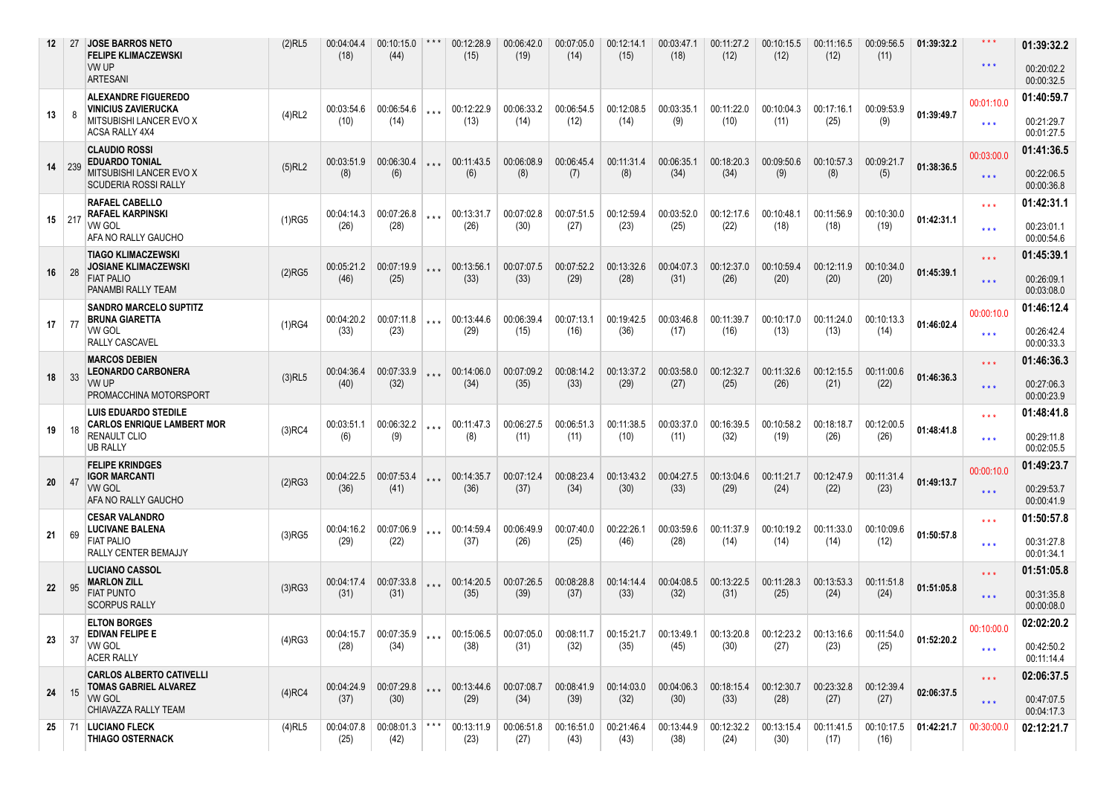| 12              | 27            | <b>JOSE BARROS NETO</b><br><b>FELIPE KLIMACZEWSKI</b><br>VW UP<br><b>ARTESANI</b>                            | $(2)$ RL5 | 00:04:04.4<br>(18) | 00:10:15.0<br>(44)       | $***$ | 00:12:28.9<br>(15) | 00:06:42.0<br>(19) | 00:07:05.0<br>(14) | 00:12:14.1<br>(15) | 00:03:47.1<br>(18) | 00:11:27.2<br>(12) | 00:10:15.5<br>(12) | 00:11:16.5<br>(12)              | 00:09:56.5<br>(11) | 01:39:32.2 | $\star\star\star$<br>$\star$ $\star$ $\star$   | 01:39:32.2<br>00:20:02.2<br>00:00:32.5 |
|-----------------|---------------|--------------------------------------------------------------------------------------------------------------|-----------|--------------------|--------------------------|-------|--------------------|--------------------|--------------------|--------------------|--------------------|--------------------|--------------------|---------------------------------|--------------------|------------|------------------------------------------------|----------------------------------------|
| 13              | 8             | <b>ALEXANDRE FIGUEREDO</b><br><b>VINICIUS ZAVIERUCKA</b><br>MITSUBISHI LANCER EVO X<br><b>ACSA RALLY 4X4</b> | $(4)$ RL2 | 00:03:54.6<br>(10) | 00:06:54.6<br>(14)       |       | 00:12:22.9<br>(13) | 00:06:33.2<br>(14) | 00:06:54.5<br>(12) | 00:12:08.5<br>(14) | 00:03:35.1<br>(9)  | 00:11:22.0<br>(10) | 00:10:04.3<br>(11) | 00:17:16.1<br>(25)              | 00:09:53.9<br>(9)  | 01:39:49.7 | 00:01:10.0<br>$\star \star \star$              | 01:40:59.7<br>00:21:29.7<br>00:01:27.5 |
| 14              | 239           | <b>CLAUDIO ROSSI</b><br><b>EDUARDO TONIAL</b><br>MITSUBISHI LANCER EVO X<br><b>SCUDERIA ROSSI RALLY</b>      | $(5)$ RL2 | 00:03:51.9<br>(8)  | 00:06:30.4<br>(6)        |       | 00:11:43.5<br>(6)  | 00:06:08.9<br>(8)  | 00:06:45.4<br>(7)  | 00:11:31.4<br>(8)  | 00:06:35.1<br>(34) | 00:18:20.3<br>(34) | 00:09:50.6<br>(9)  | 00:10:57.3<br>(8)               | 00:09:21.7<br>(5)  | 01:38:36.5 | 00:03:00.0<br>$\star \star \star$              | 01:41:36.5<br>00:22:06.5<br>00:00:36.8 |
|                 | $15 \mid 217$ | <b>RAFAEL CABELLO</b><br><b>RAFAEL KARPINSKI</b><br><b>VW GOL</b><br>AFA NO RALLY GAUCHO                     | $(1)$ RG5 | 00:04:14.3<br>(26) | 00:07:26.8<br>(28)       | $***$ | 00:13:31.7<br>(26) | 00:07:02.8<br>(30) | 00:07:51.5<br>(27) | 00:12:59.4<br>(23) | 00:03:52.0<br>(25) | 00:12:17.6<br>(22) | 00:10:48.1<br>(18) | 00:11:56.9<br>(18)              | 00:10:30.0<br>(19) | 01:42:31.1 | $***$<br>$***$                                 | 01:42:31.1<br>00:23:01.1<br>00:00:54.6 |
| 16              | 28            | <b>TIAGO KLIMACZEWSKI</b><br><b>JOSIANE KLIMACZEWSKI</b><br><b>FIAT PALIO</b><br>PANAMBI RALLY TEAM          | (2)RG5    | 00:05:21.2<br>(46) | 00:07:19.9<br>(25)       |       | 00:13:56.1<br>(33) | 00:07:07.5<br>(33) | 00:07:52.2<br>(29) | 00:13:32.6<br>(28) | 00:04:07.3<br>(31) | 00:12:37.0<br>(26) | 00:10:59.4<br>(20) | 00:12:11.9<br>(20)              | 00:10:34.0<br>(20) | 01:45:39.1 | $\star \star \star$<br>$\star \star \star$     | 01:45:39.1<br>00:26:09.1<br>00:03:08.0 |
| 17              | 77            | <b>SANDRO MARCELO SUPTITZ</b><br><b>BRUNA GIARETTA</b><br>VW GOL<br><b>RALLY CASCAVEL</b>                    | (1)RG4    | 00:04:20.2<br>(33) | 00:07:11.8<br>(23)       | $***$ | 00:13:44.6<br>(29) | 00:06:39.4<br>(15) | 00:07:13.1<br>(16) | 00:19:42.5<br>(36) | 00:03:46.8<br>(17) | 00:11:39.7<br>(16) | 00:10:17.0<br>(13) | 00:11:24.0<br>(13)              | 00:10:13.3<br>(14) | 01:46:02.4 | 00:00:10.0<br>$***$                            | 01:46:12.4<br>00:26:42.4<br>00:00:33.3 |
| 18              | 33            | <b>MARCOS DEBIEN</b><br><b>LEONARDO CARBONERA</b><br>VW UP<br>PROMACCHINA MOTORSPORT                         | $(3)$ RL5 | 00:04:36.4<br>(40) | 00:07:33.9<br>(32)       |       | 00:14:06.0<br>(34) | 00:07:09.2<br>(35) | 00:08:14.2<br>(33) | 00:13:37.2<br>(29) | 00:03:58.0<br>(27) | 00:12:32.7<br>(25) | 00:11:32.6<br>(26) | 00:12:15.5<br>(21)              | 00:11:00.6<br>(22) | 01:46:36.3 | $***$<br>$\star \star \star$                   | 01:46:36.3<br>00:27:06.3<br>00:00:23.9 |
| 19              | 18            | <b>LUIS EDUARDO STEDILE</b><br><b>CARLOS ENRIQUE LAMBERT MOR</b><br>RENAULT CLIO<br><b>UB RALLY</b>          | $(3)$ RC4 | 00:03:51.1<br>(6)  | 00:06:32.2<br>(9)        | $***$ | 00:11:47.3<br>(8)  | 00:06:27.5<br>(11) | 00:06:51.3<br>(11) | 00:11:38.5<br>(10) | 00:03:37.0<br>(11) | 00:16:39.5<br>(32) | 00:10:58.2<br>(19) | 00:18:18.7<br>(26)              | 00:12:00.5<br>(26) | 01:48:41.8 | $***$<br>$\star\star\star$                     | 01:48:41.8<br>00:29:11.8<br>00:02:05.5 |
| 20 <sup>°</sup> | 47            | <b>FELIPE KRINDGES</b><br><b>IGOR MARCANTI</b><br><b>VW GOL</b><br>AFA NO RALLY GAUCHO                       | (2)RG3    | 00:04:22.5<br>(36) | 00:07:53.4<br>(41)       | $***$ | 00:14:35.7<br>(36) | 00:07:12.4<br>(37) | 00:08:23.4<br>(34) | 00:13:43.2<br>(30) | 00:04:27.5<br>(33) | 00:13:04.6<br>(29) | 00:11:21.7<br>(24) | 00:12:47.9<br>(22)              | 00:11:31.4<br>(23) | 01:49:13.7 | 00:00:10.0<br>$\star \star \star$              | 01:49:23.7<br>00:29:53.7<br>00:00:41.9 |
| 21              | 69            | <b>CESAR VALANDRO</b><br>LUCIVANE BALENA<br><b>FIAT PALIO</b><br><b>RALLY CENTER BEMAJJY</b>                 | $(3)$ RG5 | 00:04:16.2<br>(29) | 00:07:06.9<br>(22)       | $***$ | 00:14:59.4<br>(37) | 00:06:49.9<br>(26) | 00:07:40.0<br>(25) | 00:22:26.1<br>(46) | 00:03:59.6<br>(28) | 00:11:37.9<br>(14) | 00:10:19.2<br>(14) | 00:11:33.0<br>(14)              | 00:10:09.6<br>(12) | 01:50:57.8 | $***$<br>$\star \star \star$                   | 01:50:57.8<br>00:31:27.8<br>00:01:34.1 |
| 22              | 95            | <b>LUCIANO CASSOL</b><br><b>MARLON ZILL</b><br><b>FIAT PUNTO</b><br><b>SCORPUS RALLY</b>                     | (3)RG3    | 00:04:17.4<br>(31) | 00:07:33.8<br>(31)       |       | 00:14:20.5<br>(35) | 00:07:26.5<br>(39) | 00:08:28.8<br>(37) | 00:14:14.4<br>(33) | 00:04:08.5<br>(32) | 00:13:22.5<br>(31) | 00:11:28.3<br>(25) | 00:13:53.3<br>(24)              | 00:11:51.8<br>(24) | 01:51:05.8 | $\star \star \star$<br>$\star$ $\star$ $\star$ | 01:51:05.8<br>00:31:35.8<br>00:00:08.0 |
| 23              | 37            | <b>ELTON BORGES</b><br>EDIVAN FELIPE E<br><b>VW GOL</b><br><b>ACER RALLY</b>                                 | (4)RG3    | 00:04:15.7<br>(28) | $00:07:35.9$ ***<br>(34) |       | 00:15:06.5<br>(38) | 00:07:05.0<br>(31) | 00:08:11.7<br>(32) | 00:15:21.7<br>(35) | 00:13:49.1<br>(45) | 00:13:20.8<br>(30) | (27)               | $00:12:23.2$ 00:13:16.6<br>(23) | 00:11:54.0<br>(25) | 01:52:20.2 | 00:10:00.0<br>$\star\star\star$                | 02:02:20.2<br>00:42:50.2<br>00:11:14.4 |
| 24              | $\vert$ 15    | <b>CARLOS ALBERTO CATIVELLI</b><br><b>TOMAS GABRIEL ALVAREZ</b><br>VW GOL<br>CHIAVAZZA RALLY TEAM            | $(4)$ RC4 | 00:04:24.9<br>(37) | $00:07:29.8$<br>(30)     |       | 00:13:44.6<br>(29) | 00:07:08.7<br>(34) | 00:08:41.9<br>(39) | 00:14:03.0<br>(32) | 00:04:06.3<br>(30) | 00:18:15.4<br>(33) | 00:12:30.7<br>(28) | 00:23:32.8 00:12:39.4<br>(27)   | (27)               | 02:06:37.5 | $***$<br>$\star$ $\star$ $\star$               | 02:06:37.5<br>00:47:07.5<br>00:04:17.3 |
|                 |               | 25   71   LUCIANO FLECK<br><b>THIAGO OSTERNACK</b>                                                           | $(4)$ RL5 | 00:04:07.8<br>(25) | 00:08:01.3<br>(42)       |       | 00:13:11.9<br>(23) | 00:06:51.8<br>(27) | 00:16:51.0<br>(43) | 00:21:46.4<br>(43) | 00:13:44.9<br>(38) | 00:12:32.2<br>(24) | 00:13:15.4<br>(30) | 00:11:41.5<br>(17)              | 00:10:17.5<br>(16) | 01:42:21.7 | 00:30:00.0                                     | 02:12:21.7                             |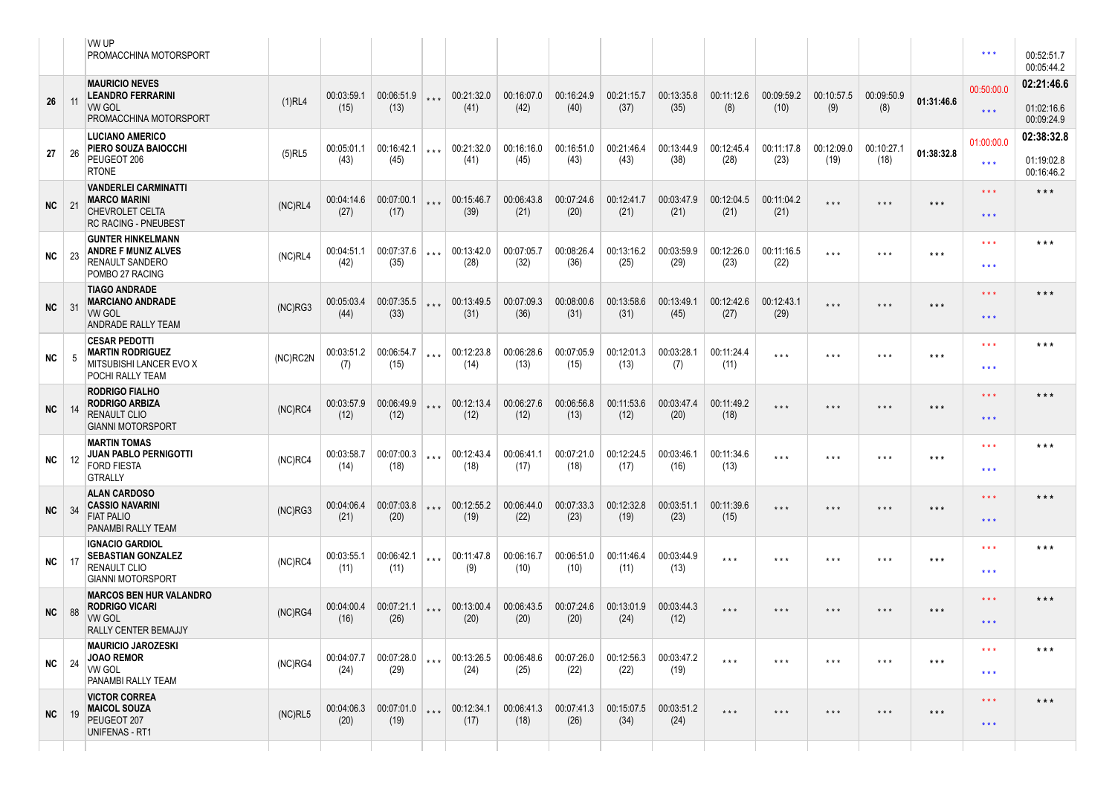|              |     | <b>VW UP</b><br><b>PROMACCHINA MOTORSPORT</b>                                                               |            |                    |                            |       |                                     |                    |                    |                    |                    |                         |                         |                         |                         |                   | $* * *$                                        | 00:52:51.7<br>00:05:44.2               |
|--------------|-----|-------------------------------------------------------------------------------------------------------------|------------|--------------------|----------------------------|-------|-------------------------------------|--------------------|--------------------|--------------------|--------------------|-------------------------|-------------------------|-------------------------|-------------------------|-------------------|------------------------------------------------|----------------------------------------|
| 26           | 11  | <b>MAURICIO NEVES</b><br><b>LEANDRO FERRARINI</b><br>VW GOL<br><b>PROMACCHINA MOTORSPORT</b>                | $(1)$ RL4  | 00:03:59.1<br>(15) | (13)                       |       | $00:06:51.9$ *** 00:21:32.0<br>(41) | 00:16:07.0<br>(42) | 00:16:24.9<br>(40) | 00:21:15.7<br>(37) | 00:13:35.8<br>(35) | 00:11:12.6<br>(8)       | 00:09:59.2<br>(10)      | 00:10:57.5<br>(9)       | 00:09:50.9<br>(8)       | 01:31:46.6        | 00:50:00.0<br>$\star\star\star$                | 02:21:46.6<br>01:02:16.6<br>00:09:24.9 |
| 27           | 26  | <b>LUCIANO AMERICO</b><br><b>PIERO SOUZA BAIOCCHI</b><br>PEUGEOT 206<br><b>RTONE</b>                        | $(5)$ RL5  | 00:05:01.1<br>(43) | 00:16:42.1<br>(45)         | $***$ | 00:21:32.0<br>(41)                  | 00:16:16.0<br>(45) | 00:16:51.0<br>(43) | 00:21:46.4<br>(43) | 00:13:44.9<br>(38) | 00:12:45.4<br>(28)      | 00:11:17.8<br>(23)      | 00:12:09.0<br>(19)      | 00:10:27.1<br>(18)      | 01:38:32.8        | 01:00:00.0<br>$***$                            | 02:38:32.8<br>01:19:02.8<br>00:16:46.2 |
| <b>NC</b> 21 |     | <b>VANDERLEI CARMINATTI</b><br><b>MARCO MARINI</b><br><b>CHEVROLET CELTA</b><br><b>RC RACING - PNEUBEST</b> | (NC)RL4    | 00:04:14.6<br>(27) | 00:07:00.1<br>(17)         |       | *** 00:15:46.7<br>(39)              | 00:06:43.8<br>(21) | 00:07:24.6<br>(20) | 00:12:41.7<br>(21) | 00:03:47.9<br>(21) | 00:12:04.5<br>(21)      | 00:11:04.2<br>(21)      | $\star$ $\star$ $\star$ | $* * *$                 | $***$             | $\star\star\star$<br>$* * *$                   | $***$                                  |
| <b>NC</b>    | -23 | <b>GUNTER HINKELMANN</b><br><b>ANDRE F MUNIZ ALVES</b><br><b>RENAULT SANDERO</b><br>POMBO 27 RACING         | (NC)RL4    | 00:04:51.1<br>(42) | 00:07:37.6<br>(35)         | $***$ | 00:13:42.0<br>(28)                  | 00:07:05.7<br>(32) | 00:08:26.4<br>(36) | 00:13:16.2<br>(25) | 00:03:59.9<br>(29) | 00:12:26.0<br>(23)      | 00:11:16.5<br>(22)      | $***$                   | $***$                   | $\star\star\star$ | $***$<br>$\star \star \star$                   | * * *                                  |
| $NC$ 31      |     | <b>TIAGO ANDRADE</b><br><b>MARCIANO ANDRADE</b><br>VW GOL<br><b>ANDRADE RALLY TEAM</b>                      | (NC)RG3    | 00:05:03.4<br>(44) | 00:07:35.5<br>(33)         |       | *** 00:13:49.5<br>(31)              | 00:07:09.3<br>(36) | 00:08:00.6<br>(31) | 00:13:58.6<br>(31) | 00:13:49.1<br>(45) | 00:12:42.6<br>(27)      | 00:12:43.1<br>(29)      | $\star$ $\star$ $\star$ | $\star$ $\star$ $\star$ | $\star\star\star$ | $\star \star \star$<br>$\star$ $\star$ $\star$ | $***$                                  |
| NC           | 5   | <b>CESAR PEDOTTI</b><br><b>MARTIN RODRIGUEZ</b><br><b>MITSUBISHI LANCER EVO X</b><br>POCHI RALLY TEAM       | (NC)RC2N   | 00:03:51.2<br>(7)  | 00:06:54.7<br>(15)         | $***$ | 00:12:23.8<br>(14)                  | 00:06:28.6<br>(13) | 00:07:05.9<br>(15) | 00:12:01.3<br>(13) | 00:03:28.1<br>(7)  | 00:11:24.4<br>(11)      | $***$                   | $***$                   | $\star$ $\star$ $\star$ | $***$             | $\star$ $\star$ $\star$<br>$\star \star \star$ | * * *                                  |
| NC           | 14  | <b>RODRIGO FIALHO</b><br><b>RODRIGO ARBIZA</b><br><b>RENAULT CLIO</b><br><b>GIANNI MOTORSPORT</b>           | $(NC)$ RC4 | 00:03:57.9<br>(12) | 00:06:49.9<br>(12)         |       | *** 00:12:13.4<br>(12)              | 00:06:27.6<br>(12) | 00:06:56.8<br>(13) | 00:11:53.6<br>(12) | 00:03:47.4<br>(20) | 00:11:49.2<br>(18)      | $\star$ $\star$ $\star$ | $\star$ $\star$ $\star$ | $\star$ $\star$ $\star$ | $***$             | $\star\star\star$<br>$***$                     | $***$                                  |
| NC           | 12  | <b>MARTIN TOMAS</b><br><b>JUAN PABLO PERNIGOTTI</b><br><b>FORD FIESTA</b><br><b>GTRALLY</b>                 | $(NC)$ RC4 | 00:03:58.7<br>(14) | 00:07:00.3   ***  <br>(18) |       | 00:12:43.4<br>(18)                  | 00:06:41.1<br>(17) | 00:07:21.0<br>(18) | 00:12:24.5<br>(17) | 00:03:46.1<br>(16) | 00:11:34.6<br>(13)      | $\star$ $\star$ $\star$ | $***$                   | $\star$ $\star$ $\star$ | $\star\star\star$ | $\star \star \star$<br>$***$                   | $***$                                  |
| <b>NC</b>    | 34  | <b>ALAN CARDOSO</b><br><b>CASSIO NAVARINI</b><br><b>FIAT PALIO</b><br><b>PANAMBI RALLY TEAM</b>             | (NC)RG3    | 00:04:06.4<br>(21) | 00:07:03.8<br>(20)         | $***$ | 00:12:55.2<br>(19)                  | 00:06:44.0<br>(22) | 00:07:33.3<br>(23) | 00:12:32.8<br>(19) | 00:03:51.1<br>(23) | 00:11:39.6<br>(15)      | $\star$ $\star$ $\star$ | $\star$ $\star$ $\star$ | $\star$ $\star$ $\star$ | $\star\star\star$ | $\star \star \star$<br>$***$                   | * * *                                  |
| $NC$ 17      |     | <b>IGNACIO GARDIOL</b><br><b>SEBASTIAN GONZALEZ</b><br><b>RENAULT CLIO</b><br><b>GIANNI MOTORSPORT</b>      | $(NC)$ RC4 | 00:03:55.1<br>(11) | 00:06:42.1<br>(11)         | $***$ | 00:11:47.8<br>(9)                   | 00:06:16.7<br>(10) | 00:06:51.0<br>(10) | 00:11:46.4<br>(11) | 00:03:44.9<br>(13) | $***$                   | $\star$ $\star$ $\star$ | $***$                   | $\star$ $\star$ $\star$ | $***$             | $***$<br>$\star\star\star$                     | $***$                                  |
| NC           | 88  | <b>MARCOS BEN HUR VALANDRO</b><br><b>RODRIGO VICARI</b><br><b>VW GOL</b><br>RALLY CENTER BEMAJJY            | (NC)RG4    | 00:04:00.4<br>(16) | 00:07:21.1<br>(26)         |       | *** 00:13:00.4<br>(20)              | 00:06:43.5<br>(20) | 00:07:24.6<br>(20) | 00:13:01.9<br>(24) | 00:03:44.3<br>(12) | $\star$ $\star$ $\star$ | $\star$ $\star$ $\star$ | $\star$ $\star$ $\star$ | $\star$ $\star$ $\star$ | $\star\star\star$ | $* * *$<br>$***$                               | $***$                                  |
| $NC$ 24      |     | <b>MAURICIO JAROZESKI</b><br>JOAO REMOR<br><b>VW GOL</b><br>PANAMBI RALLY TEAM                              | (NC)RG4    | 00:04:07.7<br>(24) | 00:07:28.0<br>(29)         | $***$ | 00:13:26.5<br>(24)                  | 00:06:48.6<br>(25) | 00:07:26.0<br>(22) | 00:12:56.3<br>(22) | 00:03:47.2<br>(19) | $\star$ $\star$ $\star$ | $\star$ $\star$ $\star$ | $\star$ $\star$ $\star$ | $***$                   | $***$             | $* * *$<br>$* * *$                             | $***$                                  |
| NC.          | 19  | <b>VICTOR CORREA</b><br><b>MAICOL SOUZA</b><br>PEUGEOT 207<br><b>UNIFENAS - RT1</b>                         | (NC)RL5    | 00:04:06.3<br>(20) | 00:07:01.0<br>(19)         | $***$ | 00:12:34.1<br>(17)                  | 00:06:41.3<br>(18) | 00:07:41.3<br>(26) | 00:15:07.5<br>(34) | 00:03:51.2<br>(24) | $\star$ $\star$ $\star$ | $\star$ $\star$ $\star$ | $\star$ $\star$ $\star$ | $\star$ $\star$ $\star$ | $\star\star\star$ | $***$<br>$\star \star \star$                   | $***$                                  |